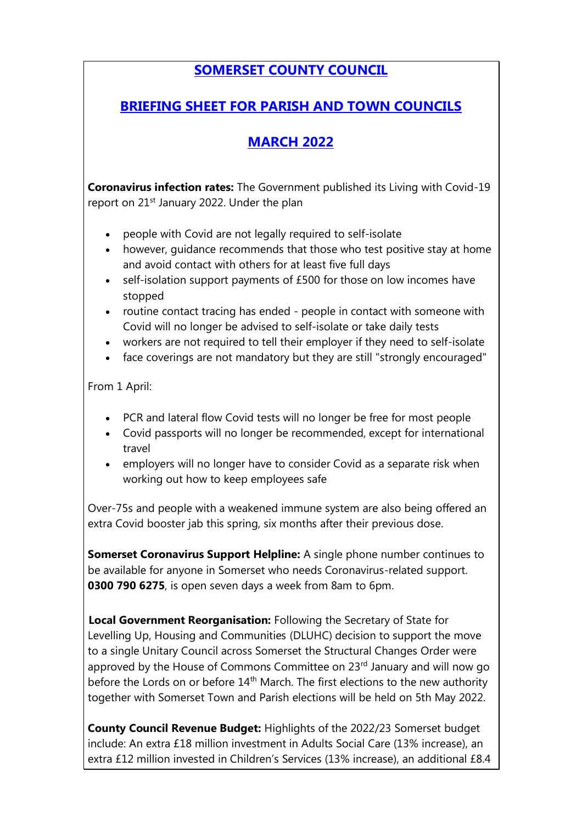## **SOMERSET COUNTY COUNCIL**

## **BRIEFING SHEET FOR PARISH AND TOWN COUNCILS**

## **MARCH 2022**

**Coronavirus infection rates:** The Government published its Living with Covid-19 report on 21<sup>st</sup> January 2022. Under the plan

- people with Covid are not legally required to self-isolate
- however, guidance recommends that those who test positive stay at home and avoid contact with others for at least five full days
- self-isolation support payments of £500 for those on low incomes have stopped
- routine contact tracing has ended people in contact with someone with Covid will no longer be advised to self-isolate or take daily tests
- workers are not required to tell their employer if they need to self-isolate
- face coverings are not mandatory but they are still "strongly encouraged"

From 1 April:

- PCR and lateral flow Covid tests will no longer be free for most people
- Covid passports will no longer be recommended, except for international travel
- employers will no longer have to consider Covid as a separate risk when working out how to keep employees safe

Over-75s and people with a weakened immune system are also being [offered](https://www.bbc.co.uk/news/health-55045639) an extra Covid [booster](https://www.bbc.co.uk/news/health-55045639) jab this spring, six months after their previous dose.

**Somerset Coronavirus Support Helpline:** A single phone number continues to be available for anyone in Somerset who needs Coronavirus-related support. **0300 790 6275**, is open seven days a week from 8am to 6pm.

**[L](https://googleads.g.doubleclick.net/pcs/click?xai=AKAOjstwSeygPkx-uR8TZiuNjLAGLr6_d9v1YPh4Ce6usEhQvRi85dKdqVPpn-yJfnUunFWcqHyJgvpfs7FblW70Dxm-bBoClTBpmIOU6rebfTKlFOF0PxgxHrG9yzjGNFR702ImcPX10i7ygBWTFGwzoIP1JUdFrNfX4gg6gayC8x3lB3VDr1XQRl-Z6E0tS2UgCP9hccwrHWDtcqIoHWm1Ft3kg0v5btm3bds10bfbpSAxG3aCEym7mHR_qA4BQc1VGV276hR2jHB0rnwwY4FA9SayPGk1CptoKrwPuYCu_smNf2vS3XaenC-NpuqltfO625JUMtuItMi5gg&sai=AMfl-YTkaCYFQGncCZLNRcDbjikRVxB1Ss_l4PWqZ0LF_JMxUAaGPjBHiSvd1aMr2IPgY9DrlL3RAY-yGq6T3IqsFH8ukJlHslVbydCc7mpGCXKHBYOX-bq)ocal Government Reorganisation:** Following the Secretary of State for Levelling Up, Housing and Communities (DLUHC) decision to support the move to a single Unitary Council across Somerset the Structural Changes Order were approved by the House of Commons Committee on 23<sup>rd</sup> January and will now go before the Lords on or before  $14<sup>th</sup>$  March. The first elections to the new authority together with Somerset Town and Parish elections will be held on 5th May 2022.

**County Council Revenue Budget:** Highlights of the 2022/23 Somerset budget include: An extra £18 million investment in Adults Social Care (13% increase), an extra £12 million invested in Children's Services (13% increase), an additional £8.4